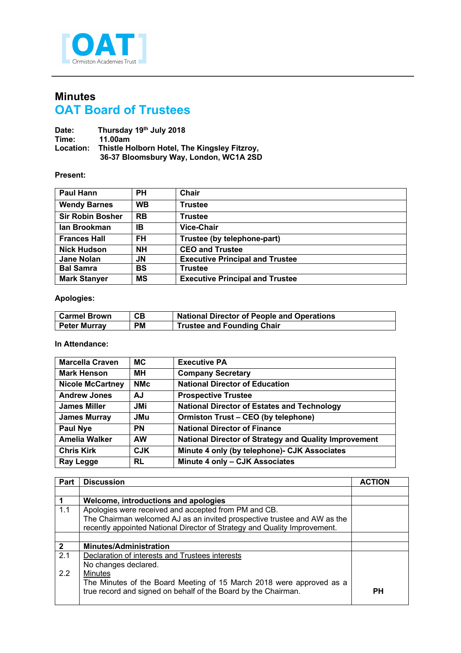

## **Minutes OAT Board of Trustees**

**Date: Thursday 19th July 2018 Time: 11.00am Location: Thistle Holborn Hotel, The Kingsley Fitzroy, 36-37 Bloomsbury Way, London, WC1A 2SD**

## **Present:**

| <b>Paul Hann</b>        | <b>PH</b> | Chair                                  |
|-------------------------|-----------|----------------------------------------|
| <b>Wendy Barnes</b>     | <b>WB</b> | Trustee                                |
| <b>Sir Robin Bosher</b> | <b>RB</b> | Trustee                                |
| lan Brookman            | IΒ        | <b>Vice-Chair</b>                      |
| <b>Frances Hall</b>     | <b>FH</b> | Trustee (by telephone-part)            |
| <b>Nick Hudson</b>      | <b>NH</b> | <b>CEO and Trustee</b>                 |
| Jane Nolan              | JN        | <b>Executive Principal and Trustee</b> |
| <b>Bal Samra</b>        | <b>BS</b> | Trustee                                |
| <b>Mark Stanyer</b>     | <b>MS</b> | <b>Executive Principal and Trustee</b> |

## **Apologies:**

| <b>└ Carmel Brown</b> | CВ        | <b>National Director of People and Operations</b> |
|-----------------------|-----------|---------------------------------------------------|
| <b>Peter Murrav</b>   | <b>PM</b> | <b>Trustee and Founding Chair</b>                 |

## **In Attendance:**

| <b>Marcella Craven</b>  | <b>MC</b>  | <b>Executive PA</b>                                          |
|-------------------------|------------|--------------------------------------------------------------|
| <b>Mark Henson</b>      | MН         | <b>Company Secretary</b>                                     |
| <b>Nicole McCartney</b> | <b>NMc</b> | <b>National Director of Education</b>                        |
| <b>Andrew Jones</b>     | AJ         | <b>Prospective Trustee</b>                                   |
| <b>James Miller</b>     | JMi        | <b>National Director of Estates and Technology</b>           |
| <b>James Murray</b>     | <b>JMu</b> | Ormiston Trust - CEO (by telephone)                          |
| <b>Paul Nye</b>         | <b>PN</b>  | <b>National Director of Finance</b>                          |
| Amelia Walker           | <b>AW</b>  | <b>National Director of Strategy and Quality Improvement</b> |
| <b>Chris Kirk</b>       | <b>CJK</b> | Minute 4 only (by telephone) - CJK Associates                |
| Ray Legge               | <b>RL</b>  | Minute 4 only - CJK Associates                               |

| Part         | <b>Discussion</b>                                                         | <b>ACTION</b> |
|--------------|---------------------------------------------------------------------------|---------------|
|              |                                                                           |               |
|              | Welcome, introductions and apologies                                      |               |
| 1.1          | Apologies were received and accepted from PM and CB.                      |               |
|              | The Chairman welcomed AJ as an invited prospective trustee and AW as the  |               |
|              | recently appointed National Director of Strategy and Quality Improvement. |               |
|              |                                                                           |               |
| $\mathbf{2}$ | <b>Minutes/Administration</b>                                             |               |
| 2.1          | Declaration of interests and Trustees interests                           |               |
|              | No changes declared.                                                      |               |
| 2.2          | <b>Minutes</b>                                                            |               |
|              | The Minutes of the Board Meeting of 15 March 2018 were approved as a      |               |
|              | true record and signed on behalf of the Board by the Chairman.            | <b>PH</b>     |
|              |                                                                           |               |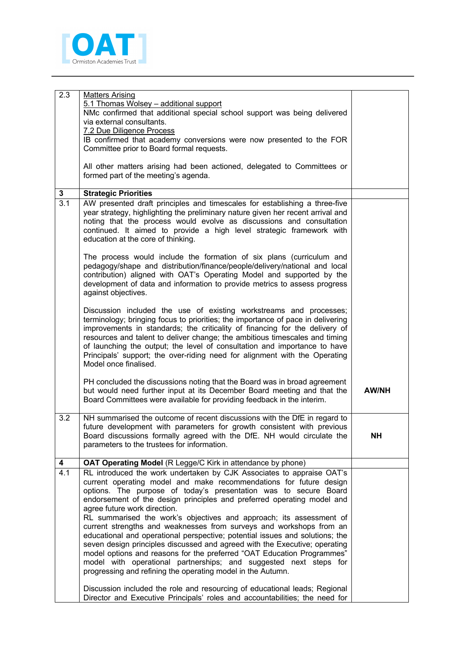

| 2.3 | <b>Matters Arising</b>                                                                                                                                                                                                                                                                                                                                                                                                                                                                                                                                                                                                                                                                                                                                                                                                                              |              |
|-----|-----------------------------------------------------------------------------------------------------------------------------------------------------------------------------------------------------------------------------------------------------------------------------------------------------------------------------------------------------------------------------------------------------------------------------------------------------------------------------------------------------------------------------------------------------------------------------------------------------------------------------------------------------------------------------------------------------------------------------------------------------------------------------------------------------------------------------------------------------|--------------|
|     | 5.1 Thomas Wolsey - additional support<br>NMc confirmed that additional special school support was being delivered                                                                                                                                                                                                                                                                                                                                                                                                                                                                                                                                                                                                                                                                                                                                  |              |
|     | via external consultants.                                                                                                                                                                                                                                                                                                                                                                                                                                                                                                                                                                                                                                                                                                                                                                                                                           |              |
|     | 7.2 Due Diligence Process                                                                                                                                                                                                                                                                                                                                                                                                                                                                                                                                                                                                                                                                                                                                                                                                                           |              |
|     | IB confirmed that academy conversions were now presented to the FOR<br>Committee prior to Board formal requests.                                                                                                                                                                                                                                                                                                                                                                                                                                                                                                                                                                                                                                                                                                                                    |              |
|     | All other matters arising had been actioned, delegated to Committees or<br>formed part of the meeting's agenda.                                                                                                                                                                                                                                                                                                                                                                                                                                                                                                                                                                                                                                                                                                                                     |              |
| 3   | <b>Strategic Priorities</b>                                                                                                                                                                                                                                                                                                                                                                                                                                                                                                                                                                                                                                                                                                                                                                                                                         |              |
| 3.1 | AW presented draft principles and timescales for establishing a three-five<br>year strategy, highlighting the preliminary nature given her recent arrival and<br>noting that the process would evolve as discussions and consultation<br>continued. It aimed to provide a high level strategic framework with<br>education at the core of thinking.                                                                                                                                                                                                                                                                                                                                                                                                                                                                                                 |              |
|     | The process would include the formation of six plans (curriculum and<br>pedagogy/shape and distribution/finance/people/delivery/national and local<br>contribution) aligned with OAT's Operating Model and supported by the<br>development of data and information to provide metrics to assess progress<br>against objectives.                                                                                                                                                                                                                                                                                                                                                                                                                                                                                                                     |              |
|     | Discussion included the use of existing workstreams and processes;<br>terminology; bringing focus to priorities; the importance of pace in delivering<br>improvements in standards; the criticality of financing for the delivery of<br>resources and talent to deliver change; the ambitious timescales and timing<br>of launching the output; the level of consultation and importance to have<br>Principals' support; the over-riding need for alignment with the Operating<br>Model once finalised.                                                                                                                                                                                                                                                                                                                                             |              |
|     | PH concluded the discussions noting that the Board was in broad agreement<br>but would need further input at its December Board meeting and that the<br>Board Committees were available for providing feedback in the interim.                                                                                                                                                                                                                                                                                                                                                                                                                                                                                                                                                                                                                      | <b>AW/NH</b> |
| 3.2 | NH summarised the outcome of recent discussions with the DfE in regard to<br>future development with parameters for growth consistent with previous<br>Board discussions formally agreed with the DfE. NH would circulate the<br>parameters to the trustees for information.                                                                                                                                                                                                                                                                                                                                                                                                                                                                                                                                                                        | <b>NH</b>    |
| 4   | OAT Operating Model (R Legge/C Kirk in attendance by phone)                                                                                                                                                                                                                                                                                                                                                                                                                                                                                                                                                                                                                                                                                                                                                                                         |              |
| 4.1 | RL introduced the work undertaken by CJK Associates to appraise OAT's<br>current operating model and make recommendations for future design<br>options. The purpose of today's presentation was to secure Board<br>endorsement of the design principles and preferred operating model and<br>agree future work direction.<br>RL summarised the work's objectives and approach; its assessment of<br>current strengths and weaknesses from surveys and workshops from an<br>educational and operational perspective; potential issues and solutions; the<br>seven design principles discussed and agreed with the Executive; operating<br>model options and reasons for the preferred "OAT Education Programmes"<br>model with operational partnerships; and suggested next steps for<br>progressing and refining the operating model in the Autumn. |              |
|     | Discussion included the role and resourcing of educational leads; Regional<br>Director and Executive Principals' roles and accountabilities; the need for                                                                                                                                                                                                                                                                                                                                                                                                                                                                                                                                                                                                                                                                                           |              |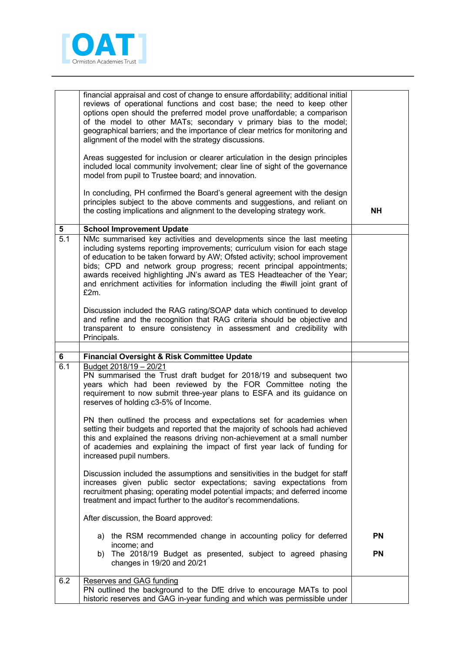

|                  | financial appraisal and cost of change to ensure affordability; additional initial<br>reviews of operational functions and cost base; the need to keep other<br>options open should the preferred model prove unaffordable; a comparison<br>of the model to other MATs; secondary v primary bias to the model;<br>geographical barriers; and the importance of clear metrics for monitoring and<br>alignment of the model with the strategy discussions.<br>Areas suggested for inclusion or clearer articulation in the design principles<br>included local community involvement; clear line of sight of the governance<br>model from pupil to Trustee board; and innovation.<br>In concluding, PH confirmed the Board's general agreement with the design<br>principles subject to the above comments and suggestions, and reliant on<br>the costing implications and alignment to the developing strategy work. | NΗ        |
|------------------|---------------------------------------------------------------------------------------------------------------------------------------------------------------------------------------------------------------------------------------------------------------------------------------------------------------------------------------------------------------------------------------------------------------------------------------------------------------------------------------------------------------------------------------------------------------------------------------------------------------------------------------------------------------------------------------------------------------------------------------------------------------------------------------------------------------------------------------------------------------------------------------------------------------------|-----------|
| 5                | <b>School Improvement Update</b>                                                                                                                                                                                                                                                                                                                                                                                                                                                                                                                                                                                                                                                                                                                                                                                                                                                                                    |           |
| $\overline{5.1}$ | NMc summarised key activities and developments since the last meeting<br>including systems reporting improvements; curriculum vision for each stage<br>of education to be taken forward by AW; Ofsted activity; school improvement<br>bids; CPD and network group progress; recent principal appointments;<br>awards received highlighting JN's award as TES Headteacher of the Year;<br>and enrichment activities for information including the #iwill joint grant of<br>£2m.                                                                                                                                                                                                                                                                                                                                                                                                                                      |           |
|                  | Discussion included the RAG rating/SOAP data which continued to develop<br>and refine and the recognition that RAG criteria should be objective and<br>transparent to ensure consistency in assessment and credibility with<br>Principals.                                                                                                                                                                                                                                                                                                                                                                                                                                                                                                                                                                                                                                                                          |           |
| 6                | <b>Financial Oversight &amp; Risk Committee Update</b>                                                                                                                                                                                                                                                                                                                                                                                                                                                                                                                                                                                                                                                                                                                                                                                                                                                              |           |
| 6.1              | Budget 2018/19 - 20/21<br>PN summarised the Trust draft budget for 2018/19 and subsequent two<br>years which had been reviewed by the FOR Committee noting the<br>requirement to now submit three-year plans to ESFA and its guidance on<br>reserves of holding c3-5% of Income.<br>PN then outlined the process and expectations set for academies when<br>setting their budgets and reported that the majority of schools had achieved<br>this and explained the reasons driving non-achievement at a small number<br>of academies and explaining the impact of first year lack of funding for<br>increased pupil numbers.<br>Discussion included the assumptions and sensitivities in the budget for staff                                                                                                                                                                                                       |           |
|                  | increases given public sector expectations; saving expectations from<br>recruitment phasing; operating model potential impacts; and deferred income<br>treatment and impact further to the auditor's recommendations.<br>After discussion, the Board approved:                                                                                                                                                                                                                                                                                                                                                                                                                                                                                                                                                                                                                                                      |           |
|                  | a) the RSM recommended change in accounting policy for deferred                                                                                                                                                                                                                                                                                                                                                                                                                                                                                                                                                                                                                                                                                                                                                                                                                                                     | <b>PN</b> |
|                  | income; and<br>The 2018/19 Budget as presented, subject to agreed phasing<br>b)<br>changes in 19/20 and 20/21                                                                                                                                                                                                                                                                                                                                                                                                                                                                                                                                                                                                                                                                                                                                                                                                       | <b>PN</b> |
| 6.2              | Reserves and GAG funding                                                                                                                                                                                                                                                                                                                                                                                                                                                                                                                                                                                                                                                                                                                                                                                                                                                                                            |           |
|                  | PN outlined the background to the DfE drive to encourage MATs to pool                                                                                                                                                                                                                                                                                                                                                                                                                                                                                                                                                                                                                                                                                                                                                                                                                                               |           |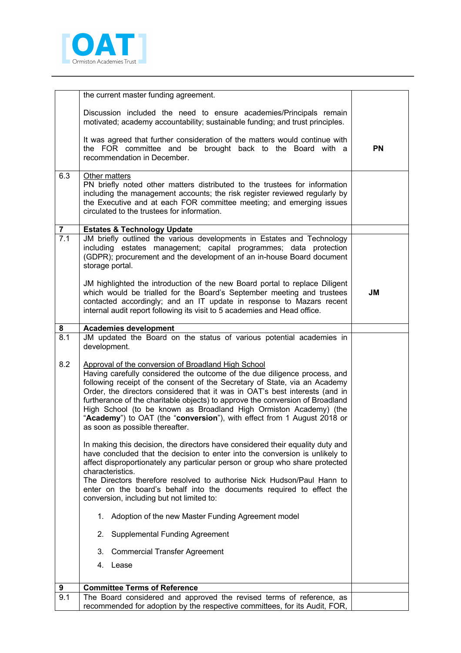

|                  | the current master funding agreement.                                                                                                                                                                                                                                                                                                                                                                                                                                                                                                                             |           |
|------------------|-------------------------------------------------------------------------------------------------------------------------------------------------------------------------------------------------------------------------------------------------------------------------------------------------------------------------------------------------------------------------------------------------------------------------------------------------------------------------------------------------------------------------------------------------------------------|-----------|
|                  |                                                                                                                                                                                                                                                                                                                                                                                                                                                                                                                                                                   |           |
|                  | Discussion included the need to ensure academies/Principals remain<br>motivated; academy accountability; sustainable funding; and trust principles.                                                                                                                                                                                                                                                                                                                                                                                                               |           |
|                  | It was agreed that further consideration of the matters would continue with<br>the FOR committee and be brought back to the Board with a<br>recommendation in December.                                                                                                                                                                                                                                                                                                                                                                                           | <b>PN</b> |
| 6.3              | Other matters<br>PN briefly noted other matters distributed to the trustees for information<br>including the management accounts; the risk register reviewed regularly by<br>the Executive and at each FOR committee meeting; and emerging issues<br>circulated to the trustees for information.                                                                                                                                                                                                                                                                  |           |
| $\overline{7}$   | <b>Estates &amp; Technology Update</b>                                                                                                                                                                                                                                                                                                                                                                                                                                                                                                                            |           |
| $\overline{7.1}$ | JM briefly outlined the various developments in Estates and Technology<br>including estates management; capital programmes; data protection<br>(GDPR); procurement and the development of an in-house Board document<br>storage portal.                                                                                                                                                                                                                                                                                                                           |           |
|                  | JM highlighted the introduction of the new Board portal to replace Diligent<br>which would be trialled for the Board's September meeting and trustees<br>contacted accordingly; and an IT update in response to Mazars recent<br>internal audit report following its visit to 5 academies and Head office.                                                                                                                                                                                                                                                        | JM        |
| 8                | <b>Academies development</b>                                                                                                                                                                                                                                                                                                                                                                                                                                                                                                                                      |           |
| 8.1              | JM updated the Board on the status of various potential academies in<br>development.                                                                                                                                                                                                                                                                                                                                                                                                                                                                              |           |
| 8.2              | Approval of the conversion of Broadland High School<br>Having carefully considered the outcome of the due diligence process, and<br>following receipt of the consent of the Secretary of State, via an Academy<br>Order, the directors considered that it was in OAT's best interests (and in<br>furtherance of the charitable objects) to approve the conversion of Broadland<br>High School (to be known as Broadland High Ormiston Academy) (the<br>"Academy") to OAT (the "conversion"), with effect from 1 August 2018 or<br>as soon as possible thereafter. |           |
|                  | In making this decision, the directors have considered their equality duty and<br>have concluded that the decision to enter into the conversion is unlikely to<br>affect disproportionately any particular person or group who share protected<br>characteristics.<br>The Directors therefore resolved to authorise Nick Hudson/Paul Hann to<br>enter on the board's behalf into the documents required to effect the<br>conversion, including but not limited to:                                                                                                |           |
|                  | 1. Adoption of the new Master Funding Agreement model                                                                                                                                                                                                                                                                                                                                                                                                                                                                                                             |           |
|                  | <b>Supplemental Funding Agreement</b><br>2.                                                                                                                                                                                                                                                                                                                                                                                                                                                                                                                       |           |
|                  | <b>Commercial Transfer Agreement</b><br>3.                                                                                                                                                                                                                                                                                                                                                                                                                                                                                                                        |           |
|                  | 4.<br>Lease                                                                                                                                                                                                                                                                                                                                                                                                                                                                                                                                                       |           |
| 9                | <b>Committee Terms of Reference</b>                                                                                                                                                                                                                                                                                                                                                                                                                                                                                                                               |           |
| 9.1              | The Board considered and approved the revised terms of reference, as                                                                                                                                                                                                                                                                                                                                                                                                                                                                                              |           |
|                  | recommended for adoption by the respective committees, for its Audit, FOR,                                                                                                                                                                                                                                                                                                                                                                                                                                                                                        |           |